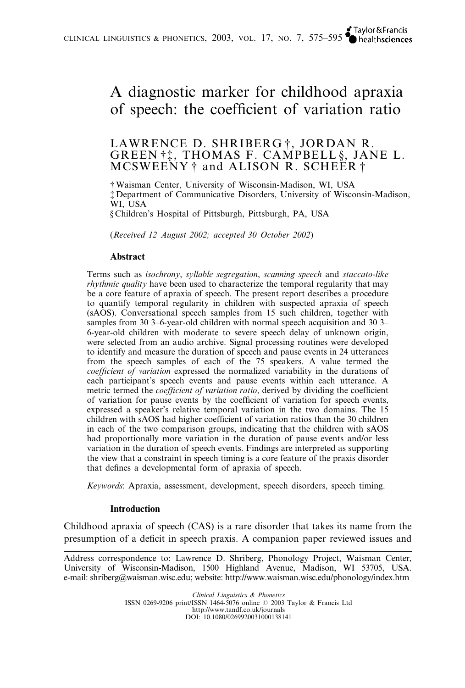# A diagnostic marker for childhood apraxia of speech: the coefficient of variation ratio

## LAWRENCE D. SHRIBERG<sup>†</sup>, JORDAN R. GREEN ††, THOMAS F. CAMPBELL §, JANE L. MCSWEENY † and ALISON R. SCHEER †

{ Waisman Center, University of Wisconsin-Madison, WI, USA { Department of Communicative Disorders, University of Wisconsin-Madison, WI, USA

§ Children's Hospital of Pittsburgh, Pittsburgh, PA, USA

(Received 12 August 2002; accepted 30 October 2002)

## Abstract

Terms such as isochrony, syllable segregation, scanning speech and staccato-like *rhythmic quality* have been used to characterize the temporal regularity that may be a core feature of apraxia of speech. The present report describes a procedure to quantify temporal regularity in children with suspected apraxia of speech (sAOS). Conversational speech samples from 15 such children, together with samples from 30 3–6-year-old children with normal speech acquisition and 30 3– 6-year-old children with moderate to severe speech delay of unknown origin, were selected from an audio archive. Signal processing routines were developed to identify and measure the duration of speech and pause events in 24 utterances from the speech samples of each of the 75 speakers. A value termed the coefficient of variation expressed the normalized variability in the durations of each participant's speech events and pause events within each utterance. A metric termed the coefficient of variation ratio, derived by dividing the coefficient of variation for pause events by the coefficient of variation for speech events, expressed a speaker's relative temporal variation in the two domains. The 15 children with sAOS had higher coefficient of variation ratios than the 30 children in each of the two comparison groups, indicating that the children with sAOS had proportionally more variation in the duration of pause events and/or less variation in the duration of speech events. Findings are interpreted as supporting the view that a constraint in speech timing is a core feature of the praxis disorder that defines a developmental form of apraxia of speech.

Keywords: Apraxia, assessment, development, speech disorders, speech timing.

## **Introduction**

Childhood apraxia of speech (CAS) is a rare disorder that takes its name from the presumption of a deficit in speech praxis. A companion paper reviewed issues and

Clinical Linguistics & Phonetics ISSN 0269-9206 print/ISSN 1464-5076 online © 2003 Taylor & Francis Ltd http://www.tandf.co.uk/journals DOI: 10.1080/0269920031000138141

Address correspondence to: Lawrence D. Shriberg, Phonology Project, Waisman Center, University of Wisconsin-Madison, 1500 Highland Avenue, Madison, WI 53705, USA. e-mail: shriberg@waisman.wisc.edu; website: http://www.waisman.wisc.edu/phonology/index.htm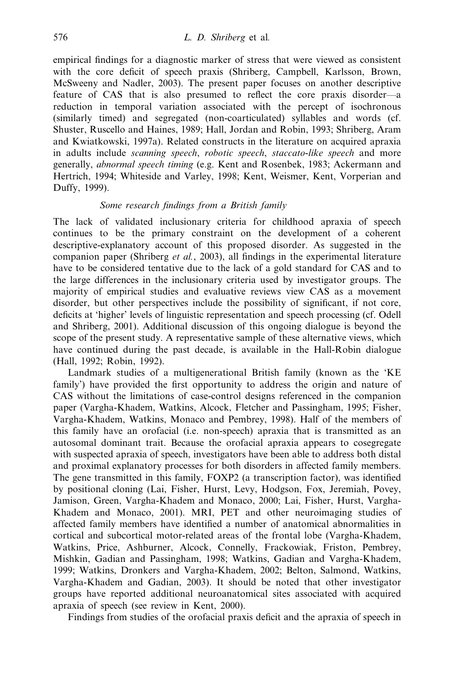empirical findings for a diagnostic marker of stress that were viewed as consistent with the core deficit of speech praxis (Shriberg, Campbell, Karlsson, Brown, McSweeny and Nadler, 2003). The present paper focuses on another descriptive feature of CAS that is also presumed to reflect the core praxis disorder—a reduction in temporal variation associated with the percept of isochronous (similarly timed) and segregated (non-coarticulated) syllables and words (cf. Shuster, Ruscello and Haines, 1989; Hall, Jordan and Robin, 1993; Shriberg, Aram and Kwiatkowski, 1997a). Related constructs in the literature on acquired apraxia in adults include *scanning speech*, *robotic speech*, *staccato-like speech* and more generally, abnormal speech timing (e.g. Kent and Rosenbek, 1983; Ackermann and Hertrich, 1994; Whiteside and Varley, 1998; Kent, Weismer, Kent, Vorperian and Duffy, 1999).

## Some research findings from a British family

The lack of validated inclusionary criteria for childhood apraxia of speech continues to be the primary constraint on the development of a coherent descriptive-explanatory account of this proposed disorder. As suggested in the companion paper (Shriberg et al., 2003), all findings in the experimental literature have to be considered tentative due to the lack of a gold standard for CAS and to the large differences in the inclusionary criteria used by investigator groups. The majority of empirical studies and evaluative reviews view CAS as a movement disorder, but other perspectives include the possibility of significant, if not core, deficits at 'higher' levels of linguistic representation and speech processing (cf. Odell and Shriberg, 2001). Additional discussion of this ongoing dialogue is beyond the scope of the present study. A representative sample of these alternative views, which have continued during the past decade, is available in the Hall-Robin dialogue (Hall, 1992; Robin, 1992).

Landmark studies of a multigenerational British family (known as the 'KE family') have provided the first opportunity to address the origin and nature of CAS without the limitations of case-control designs referenced in the companion paper (Vargha-Khadem, Watkins, Alcock, Fletcher and Passingham, 1995; Fisher, Vargha-Khadem, Watkins, Monaco and Pembrey, 1998). Half of the members of this family have an orofacial (i.e. non-speech) apraxia that is transmitted as an autosomal dominant trait. Because the orofacial apraxia appears to cosegregate with suspected apraxia of speech, investigators have been able to address both distal and proximal explanatory processes for both disorders in affected family members. The gene transmitted in this family, FOXP2 (a transcription factor), was identified by positional cloning (Lai, Fisher, Hurst, Levy, Hodgson, Fox, Jeremiah, Povey, Jamison, Green, Vargha-Khadem and Monaco, 2000; Lai, Fisher, Hurst, Vargha-Khadem and Monaco, 2001). MRI, PET and other neuroimaging studies of affected family members have identified a number of anatomical abnormalities in cortical and subcortical motor-related areas of the frontal lobe (Vargha-Khadem, Watkins, Price, Ashburner, Alcock, Connelly, Frackowiak, Friston, Pembrey, Mishkin, Gadian and Passingham, 1998; Watkins, Gadian and Vargha-Khadem, 1999; Watkins, Dronkers and Vargha-Khadem, 2002; Belton, Salmond, Watkins, Vargha-Khadem and Gadian, 2003). It should be noted that other investigator groups have reported additional neuroanatomical sites associated with acquired apraxia of speech (see review in Kent, 2000).

Findings from studies of the orofacial praxis deficit and the apraxia of speech in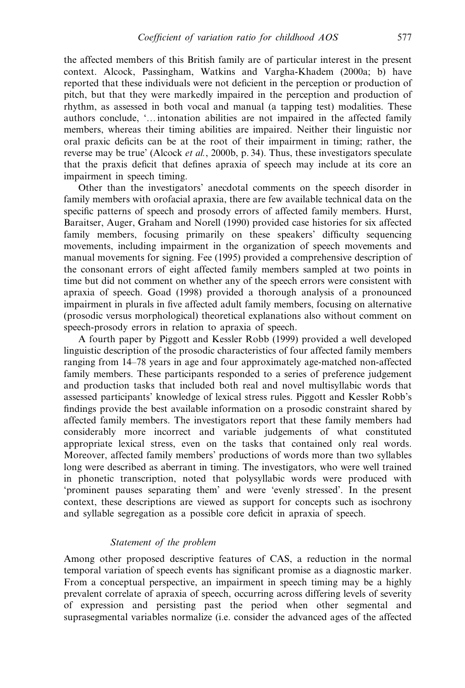the affected members of this British family are of particular interest in the present context. Alcock, Passingham, Watkins and Vargha-Khadem (2000a; b) have reported that these individuals were not deficient in the perception or production of pitch, but that they were markedly impaired in the perception and production of rhythm, as assessed in both vocal and manual (a tapping test) modalities. These authors conclude, '... intonation abilities are not impaired in the affected family members, whereas their timing abilities are impaired. Neither their linguistic nor oral praxic deficits can be at the root of their impairment in timing; rather, the reverse may be true' (Alcock *et al.*, 2000b, p. 34). Thus, these investigators speculate that the praxis deficit that defines apraxia of speech may include at its core an impairment in speech timing.

Other than the investigators' anecdotal comments on the speech disorder in family members with orofacial apraxia, there are few available technical data on the specific patterns of speech and prosody errors of affected family members. Hurst, Baraitser, Auger, Graham and Norell (1990) provided case histories for six affected family members, focusing primarily on these speakers' difficulty sequencing movements, including impairment in the organization of speech movements and manual movements for signing. Fee (1995) provided a comprehensive description of the consonant errors of eight affected family members sampled at two points in time but did not comment on whether any of the speech errors were consistent with apraxia of speech. Goad (1998) provided a thorough analysis of a pronounced impairment in plurals in five affected adult family members, focusing on alternative (prosodic versus morphological) theoretical explanations also without comment on speech-prosody errors in relation to apraxia of speech.

A fourth paper by Piggott and Kessler Robb (1999) provided a well developed linguistic description of the prosodic characteristics of four affected family members ranging from 14–78 years in age and four approximately age-matched non-affected family members. These participants responded to a series of preference judgement and production tasks that included both real and novel multisyllabic words that assessed participants' knowledge of lexical stress rules. Piggott and Kessler Robb's findings provide the best available information on a prosodic constraint shared by affected family members. The investigators report that these family members had considerably more incorrect and variable judgements of what constituted appropriate lexical stress, even on the tasks that contained only real words. Moreover, affected family members' productions of words more than two syllables long were described as aberrant in timing. The investigators, who were well trained in phonetic transcription, noted that polysyllabic words were produced with 'prominent pauses separating them' and were 'evenly stressed'. In the present context, these descriptions are viewed as support for concepts such as isochrony and syllable segregation as a possible core deficit in apraxia of speech.

## Statement of the problem

Among other proposed descriptive features of CAS, a reduction in the normal temporal variation of speech events has significant promise as a diagnostic marker. From a conceptual perspective, an impairment in speech timing may be a highly prevalent correlate of apraxia of speech, occurring across differing levels of severity of expression and persisting past the period when other segmental and suprasegmental variables normalize (i.e. consider the advanced ages of the affected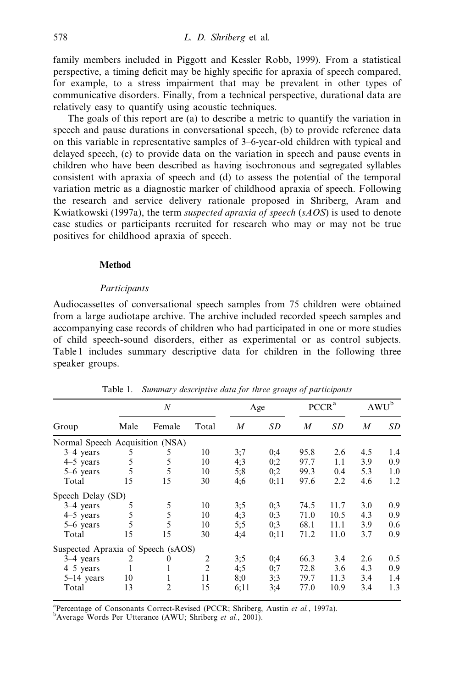family members included in Piggott and Kessler Robb, 1999). From a statistical perspective, a timing deficit may be highly specific for apraxia of speech compared, for example, to a stress impairment that may be prevalent in other types of communicative disorders. Finally, from a technical perspective, durational data are relatively easy to quantify using acoustic techniques.

The goals of this report are (a) to describe a metric to quantify the variation in speech and pause durations in conversational speech, (b) to provide reference data on this variable in representative samples of 3–6-year-old children with typical and delayed speech, (c) to provide data on the variation in speech and pause events in children who have been described as having isochronous and segregated syllables consistent with apraxia of speech and (d) to assess the potential of the temporal variation metric as a diagnostic marker of childhood apraxia of speech. Following the research and service delivery rationale proposed in Shriberg, Aram and Kwiatkowski (1997a), the term *suspected apraxia of speech* (sAOS) is used to denote case studies or participants recruited for research who may or may not be true positives for childhood apraxia of speech.

## **Method**

## Participants

Audiocassettes of conversational speech samples from 75 children were obtained from a large audiotape archive. The archive included recorded speech samples and accompanying case records of children who had participated in one or more studies of child speech-sound disorders, either as experimental or as control subjects. Table 1 includes summary descriptive data for children in the following three speaker groups.

|                                    |      | $\boldsymbol{N}$ |                |      | Age  |      | $PCCR^a$ |                  | b,<br><b>AWU</b> |  |
|------------------------------------|------|------------------|----------------|------|------|------|----------|------------------|------------------|--|
| Group                              | Male | Female           | Total          | M    | SD   | M    | SD       | $\boldsymbol{M}$ | SD               |  |
| Normal Speech Acquisition (NSA)    |      |                  |                |      |      |      |          |                  |                  |  |
| $3-4$ years                        | 5    | 5                | 10             | 3:7  | 0:4  | 95.8 | 2.6      | 4.5              | 1.4              |  |
| $4-5$ years                        | 5    | 5                | 10             | 4:3  | 0:2  | 97.7 | 1.1      | 3.9              | 0.9              |  |
| 5–6 years                          | 5    | 5                | 10             | 5:8  | 0:2  | 99.3 | 0.4      | 5.3              | 1.0              |  |
| Total                              | 15   | 15               | 30             | 4;6  | 0:11 | 97.6 | 2.2      | 4.6              | 1.2              |  |
| Speech Delay (SD)                  |      |                  |                |      |      |      |          |                  |                  |  |
| $3-4$ years                        | 5    | 5                | 10             | 3:5  | 0:3  | 74.5 | 11.7     | 3.0              | 0.9              |  |
| $4-5$ years                        | 5    | 5                | 10             | 4:3  | 0:3  | 71.0 | 10.5     | 4.3              | 0.9              |  |
| 5-6 years                          | 5    | 5                | 10             | 5:5  | 0:3  | 68.1 | 11.1     | 3.9              | 0.6              |  |
| Total                              | 15   | 15               | 30             | 4:4  | 0:11 | 71.2 | 11.0     | 3.7              | 0.9              |  |
| Suspected Apraxia of Speech (sAOS) |      |                  |                |      |      |      |          |                  |                  |  |
| $3-4$ years                        | 2    |                  | $\overline{2}$ | 3:5  | 0:4  | 66.3 | 3.4      | 2.6              | 0.5              |  |
| $4-5$ years                        | 1    |                  | $\overline{2}$ | 4:5  | 0:7  | 72.8 | 3.6      | 4.3              | 0.9              |  |
| $5-14$ years                       | 10   |                  | 11             | 8:0  | 3:3  | 79.7 | 11.3     | 3.4              | 1.4              |  |
| Total                              | 13   | 2                | 15             | 6;11 | 3:4  | 77.0 | 10.9     | 3.4              | 1.3              |  |

Table 1. Summary descriptive data for three groups of participants

<sup>a</sup> Percentage of Consonants Correct-Revised (PCCR; Shriberg, Austin *et al.*, 1997a).

<sup>b</sup>Average Words Per Utterance (AWU; Shriberg et al., 2001).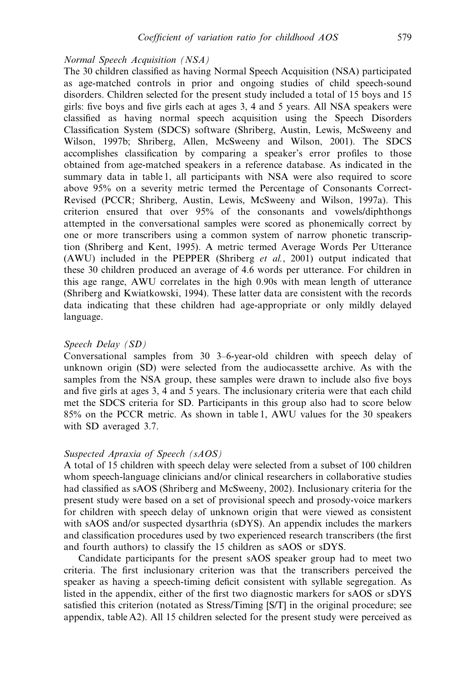## Normal Speech Acquisition (NSA)

The 30 children classified as having Normal Speech Acquisition (NSA) participated as age-matched controls in prior and ongoing studies of child speech-sound disorders. Children selected for the present study included a total of 15 boys and 15 girls: five boys and five girls each at ages 3, 4 and 5 years. All NSA speakers were classified as having normal speech acquisition using the Speech Disorders Classification System (SDCS) software (Shriberg, Austin, Lewis, McSweeny and Wilson, 1997b; Shriberg, Allen, McSweeny and Wilson, 2001). The SDCS accomplishes classification by comparing a speaker's error profiles to those obtained from age-matched speakers in a reference database. As indicated in the summary data in table 1, all participants with NSA were also required to score above 95% on a severity metric termed the Percentage of Consonants Correct-Revised (PCCR; Shriberg, Austin, Lewis, McSweeny and Wilson, 1997a). This criterion ensured that over 95% of the consonants and vowels/diphthongs attempted in the conversational samples were scored as phonemically correct by one or more transcribers using a common system of narrow phonetic transcription (Shriberg and Kent, 1995). A metric termed Average Words Per Utterance (AWU) included in the PEPPER (Shriberg *et al.*, 2001) output indicated that these 30 children produced an average of 4.6 words per utterance. For children in this age range, AWU correlates in the high 0.90s with mean length of utterance (Shriberg and Kwiatkowski, 1994). These latter data are consistent with the records data indicating that these children had age-appropriate or only mildly delayed language.

#### Speech Delay (SD)

Conversational samples from 30 3–6-year-old children with speech delay of unknown origin (SD) were selected from the audiocassette archive. As with the samples from the NSA group, these samples were drawn to include also five boys and five girls at ages 3, 4 and 5 years. The inclusionary criteria were that each child met the SDCS criteria for SD. Participants in this group also had to score below 85% on the PCCR metric. As shown in table 1, AWU values for the 30 speakers with SD averaged 3.7.

#### Suspected Apraxia of Speech (sAOS)

A total of 15 children with speech delay were selected from a subset of 100 children whom speech-language clinicians and/or clinical researchers in collaborative studies had classified as sAOS (Shriberg and McSweeny, 2002). Inclusionary criteria for the present study were based on a set of provisional speech and prosody-voice markers for children with speech delay of unknown origin that were viewed as consistent with sAOS and/or suspected dysarthria (sDYS). An appendix includes the markers and classification procedures used by two experienced research transcribers (the first and fourth authors) to classify the 15 children as sAOS or sDYS.

Candidate participants for the present sAOS speaker group had to meet two criteria. The first inclusionary criterion was that the transcribers perceived the speaker as having a speech-timing deficit consistent with syllable segregation. As listed in the appendix, either of the first two diagnostic markers for sAOS or sDYS satisfied this criterion (notated as Stress/Timing [S/T] in the original procedure; see appendix, table A2). All 15 children selected for the present study were perceived as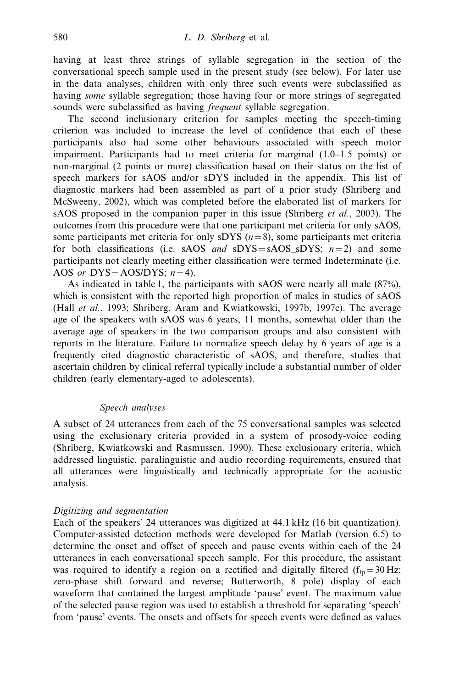having at least three strings of syllable segregation in the section of the conversational speech sample used in the present study (see below). For later use in the data analyses, children with only three such events were subclassified as having some syllable segregation; those having four or more strings of segregated sounds were subclassified as having *frequent* syllable segregation.

The second inclusionary criterion for samples meeting the speech-timing criterion was included to increase the level of confidence that each of these participants also had some other behaviours associated with speech motor impairment. Participants had to meet criteria for marginal (1.0–1.5 points) or non-marginal (2 points or more) classification based on their status on the list of speech markers for sAOS and/or sDYS included in the appendix. This list of diagnostic markers had been assembled as part of a prior study (Shriberg and McSweeny, 2002), which was completed before the elaborated list of markers for sAOS proposed in the companion paper in this issue (Shriberg *et al.*, 2003). The outcomes from this procedure were that one participant met criteria for only sAOS, some participants met criteria for only sDYS  $(n=8)$ , some participants met criteria for both classifications (i.e. sAOS and sDYS=sAOS sDYS;  $n=2$ ) and some participants not clearly meeting either classification were termed Indeterminate (i.e. AOS or  $DYS = AOS/DYS$ ;  $n=4$ ).

As indicated in table 1, the participants with sAOS were nearly all male (87%), which is consistent with the reported high proportion of males in studies of sAOS (Hall et al., 1993; Shriberg, Aram and Kwiatkowski, 1997b, 1997c). The average age of the speakers with sAOS was 6 years, 11 months, somewhat older than the average age of speakers in the two comparison groups and also consistent with reports in the literature. Failure to normalize speech delay by 6 years of age is a frequently cited diagnostic characteristic of sAOS, and therefore, studies that ascertain children by clinical referral typically include a substantial number of older children (early elementary-aged to adolescents).

## Speech analyses

A subset of 24 utterances from each of the 75 conversational samples was selected using the exclusionary criteria provided in a system of prosody-voice coding (Shriberg, Kwiatkowski and Rasmussen, 1990). These exclusionary criteria, which addressed linguistic, paralinguistic and audio recording requirements, ensured that all utterances were linguistically and technically appropriate for the acoustic analysis.

## Digitizing and segmentation

Each of the speakers' 24 utterances was digitized at 44.1 kHz (16 bit quantization). Computer-assisted detection methods were developed for Matlab (version 6.5) to determine the onset and offset of speech and pause events within each of the 24 utterances in each conversational speech sample. For this procedure, the assistant was required to identify a region on a rectified and digitally filtered  $(f<sub>lp</sub>=30 Hz;$ zero-phase shift forward and reverse; Butterworth, 8 pole) display of each waveform that contained the largest amplitude 'pause' event. The maximum value of the selected pause region was used to establish a threshold for separating 'speech' from 'pause' events. The onsets and offsets for speech events were defined as values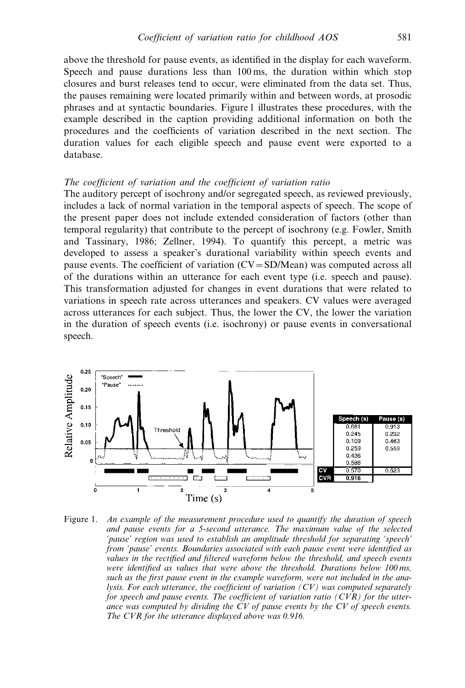above the threshold for pause events, as identified in the display for each waveform. Speech and pause durations less than 100 ms, the duration within which stop closures and burst releases tend to occur, were eliminated from the data set. Thus, the pauses remaining were located primarily within and between words, at prosodic phrases and at syntactic boundaries. Figure 1 illustrates these procedures, with the example described in the caption providing additional information on both the procedures and the coefficients of variation described in the next section. The duration values for each eligible speech and pause event were exported to a database.

## The coefficient of variation and the coefficient of variation ratio

The auditory percept of isochrony and/or segregated speech, as reviewed previously, includes a lack of normal variation in the temporal aspects of speech. The scope of the present paper does not include extended consideration of factors (other than temporal regularity) that contribute to the percept of isochrony (e.g. Fowler, Smith and Tassinary, 1986; Zellner, 1994). To quantify this percept, a metric was developed to assess a speaker's durational variability within speech events and pause events. The coefficient of variation  $(CV=SD/Mean)$  was computed across all of the durations within an utterance for each event type (i.e. speech and pause). This transformation adjusted for changes in event durations that were related to variations in speech rate across utterances and speakers. CV values were averaged across utterances for each subject. Thus, the lower the CV, the lower the variation in the duration of speech events (i.e. isochrony) or pause events in conversational speech.



Figure 1. An example of the measurement procedure used to quantify the duration of speech and pause events for a 5-second utterance. The maximum value of the selected 'pause' region was used to establish an amplitude threshold for separating 'speech' from 'pause' events. Boundaries associated with each pause event were identified as values in the rectified and filtered waveform below the threshold, and speech events were identified as values that were above the threshold. Durations below 100 ms, such as the first pause event in the example waveform, were not included in the analysis. For each utterance, the coefficient of variation  $(CV)$  was computed separately for speech and pause events. The coefficient of variation ratio  $(CVR)$  for the utterance was computed by dividing the CV of pause events by the CV of speech events. The CVR for the utterance displayed above was 0.916.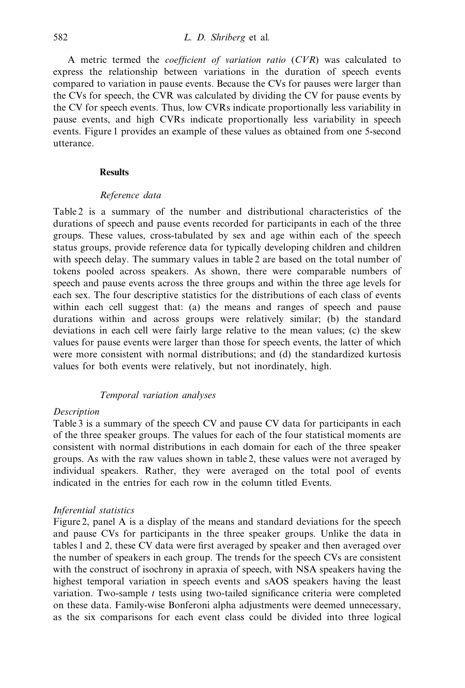A metric termed the *coefficient of variation ratio* (CVR) was calculated to express the relationship between variations in the duration of speech events compared to variation in pause events. Because the CVs for pauses were larger than the CVs for speech, the CVR was calculated by dividing the CV for pause events by the CV for speech events. Thus, low CVRs indicate proportionally less variability in pause events, and high CVRs indicate proportionally less variability in speech events. Figure 1 provides an example of these values as obtained from one 5-second utterance.

## Results

### Reference data

Table 2 is a summary of the number and distributional characteristics of the durations of speech and pause events recorded for participants in each of the three groups. These values, cross-tabulated by sex and age within each of the speech status groups, provide reference data for typically developing children and children with speech delay. The summary values in table 2 are based on the total number of tokens pooled across speakers. As shown, there were comparable numbers of speech and pause events across the three groups and within the three age levels for each sex. The four descriptive statistics for the distributions of each class of events within each cell suggest that: (a) the means and ranges of speech and pause durations within and across groups were relatively similar; (b) the standard deviations in each cell were fairly large relative to the mean values; (c) the skew values for pause events were larger than those for speech events, the latter of which were more consistent with normal distributions; and (d) the standardized kurtosis values for both events were relatively, but not inordinately, high.

## Temporal variation analyses

#### Description

Table 3 is a summary of the speech CV and pause CV data for participants in each of the three speaker groups. The values for each of the four statistical moments are consistent with normal distributions in each domain for each of the three speaker groups. As with the raw values shown in table 2, these values were not averaged by individual speakers. Rather, they were averaged on the total pool of events indicated in the entries for each row in the column titled Events.

#### Inferential statistics

Figure 2, panel A is a display of the means and standard deviations for the speech and pause CVs for participants in the three speaker groups. Unlike the data in tables 1 and 2, these CV data were first averaged by speaker and then averaged over the number of speakers in each group. The trends for the speech CVs are consistent with the construct of isochrony in apraxia of speech, with NSA speakers having the highest temporal variation in speech events and sAOS speakers having the least variation. Two-sample  $t$  tests using two-tailed significance criteria were completed on these data. Family-wise Bonferoni alpha adjustments were deemed unnecessary, as the six comparisons for each event class could be divided into three logical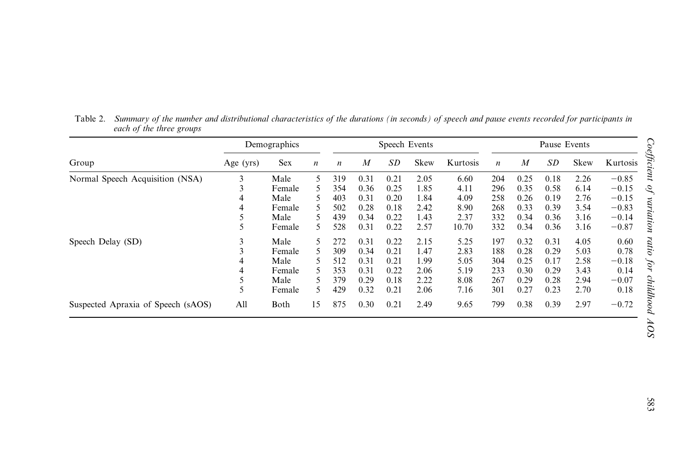|                                    |             | Demographics |                  | Speech Events    |      |           |             | Pause Events |                  |                  |      |             |          |
|------------------------------------|-------------|--------------|------------------|------------------|------|-----------|-------------|--------------|------------------|------------------|------|-------------|----------|
| Group                              | Age $(yrs)$ | <b>Sex</b>   | $\boldsymbol{n}$ | $\boldsymbol{n}$ | M    | <b>SD</b> | <b>Skew</b> | Kurtosis     | $\boldsymbol{n}$ | $\boldsymbol{M}$ | SD   | <b>Skew</b> | Kurtosis |
| Normal Speech Acquisition (NSA)    | 3           | Male         | 5.               | 319              | 0.31 | 0.21      | 2.05        | 6.60         | 204              | 0.25             | 0.18 | 2.26        | $-0.85$  |
|                                    |             | Female       |                  | 354              | 0.36 | 0.25      | 1.85        | 4.11         | 296              | 0.35             | 0.58 | 6.14        | $-0.15$  |
|                                    | 4           | Male         | 5                | 403              | 0.31 | 0.20      | 1.84        | 4.09         | 258              | 0.26             | 0.19 | 2.76        | $-0.15$  |
|                                    |             | Female       |                  | 502              | 0.28 | 0.18      | 2.42        | 8.90         | 268              | 0.33             | 0.39 | 3.54        | $-0.83$  |
|                                    |             | Male         | 5                | 439              | 0.34 | 0.22      | 1.43        | 2.37         | 332              | 0.34             | 0.36 | 3.16        | $-0.14$  |
|                                    |             | Female       | 5.               | 528              | 0.31 | 0.22      | 2.57        | 10.70        | 332              | 0.34             | 0.36 | 3.16        | $-0.87$  |
| Speech Delay (SD)                  | 3           | Male         | 5.               | 272              | 0.31 | 0.22      | 2.15        | 5.25         | 197              | 0.32             | 0.31 | 4.05        | 0.60     |
|                                    |             | Female       |                  | 309              | 0.34 | 0.21      | 1.47        | 2.83         | 188              | 0.28             | 0.29 | 5.03        | 0.78     |
|                                    | 4           | Male         | 5                | 512              | 0.31 | 0.21      | 1.99        | 5.05         | 304              | 0.25             | 0.17 | 2.58        | $-0.18$  |
|                                    | 4           | Female       |                  | 353              | 0.31 | 0.22      | 2.06        | 5.19         | 233              | 0.30             | 0.29 | 3.43        | 0.14     |
|                                    |             | Male         |                  | 379              | 0.29 | 0.18      | 2.22        | 8.08         | 267              | 0.29             | 0.28 | 2.94        | $-0.07$  |
|                                    | 5           | Female       | 5.               | 429              | 0.32 | 0.21      | 2.06        | 7.16         | 301              | 0.27             | 0.23 | 2.70        | 0.18     |
| Suspected Apraxia of Speech (sAOS) | All         | Both         | 15               | 875              | 0.30 | 0.21      | 2.49        | 9.65         | 799              | 0.38             | 0.39 | 2.97        | $-0.72$  |

Table 2. Summary of the number and distributional characteristics of the durations (in seconds) of speech and pause events recorded for participants in each of the three groups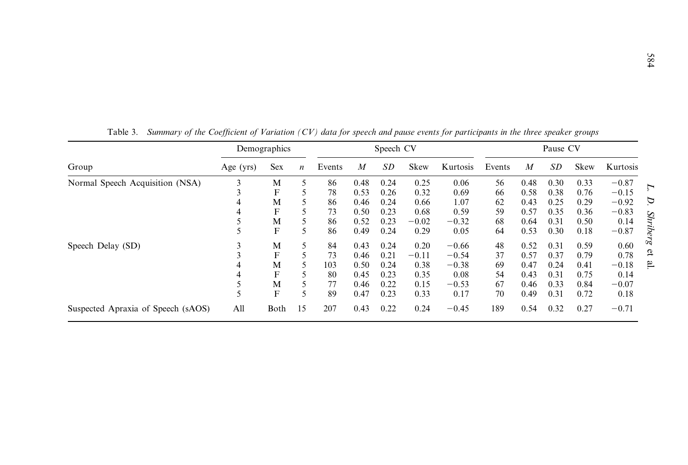|                                    | Demographics |            |                  | Speech CV |                  |      |             | Pause CV |        |                  |           |             |          |
|------------------------------------|--------------|------------|------------------|-----------|------------------|------|-------------|----------|--------|------------------|-----------|-------------|----------|
| Group                              | Age (yrs)    | <b>Sex</b> | $\boldsymbol{n}$ | Events    | $\boldsymbol{M}$ | SD   | <b>Skew</b> | Kurtosis | Events | $\boldsymbol{M}$ | <b>SD</b> | <b>Skew</b> | Kurtosis |
| Normal Speech Acquisition (NSA)    | 3            | M          | 5                | 86        | 0.48             | 0.24 | 0.25        | 0.06     | 56     | 0.48             | 0.30      | 0.33        | $-0.87$  |
|                                    |              | F          | 5                | 78        | 0.53             | 0.26 | 0.32        | 0.69     | 66     | 0.58             | 0.38      | 0.76        | $-0.15$  |
|                                    | 4            | M          | 5                | 86        | 0.46             | 0.24 | 0.66        | 1.07     | 62     | 0.43             | 0.25      | 0.29        | $-0.92$  |
|                                    | 4            | F          | 5                | 73        | 0.50             | 0.23 | 0.68        | 0.59     | 59     | 0.57             | 0.35      | 0.36        | $-0.83$  |
|                                    |              | M          | 5                | 86        | 0.52             | 0.23 | $-0.02$     | $-0.32$  | 68     | 0.64             | 0.31      | 0.50        | 0.14     |
|                                    |              | F          | 5                | 86        | 0.49             | 0.24 | 0.29        | 0.05     | 64     | 0.53             | 0.30      | 0.18        | $-0.87$  |
| Speech Delay (SD)                  |              | M          | 5                | 84        | 0.43             | 0.24 | 0.20        | $-0.66$  | 48     | 0.52             | 0.31      | 0.59        | 0.60     |
|                                    |              | F          | 5                | 73        | 0.46             | 0.21 | $-0.11$     | $-0.54$  | 37     | 0.57             | 0.37      | 0.79        | 0.78     |
|                                    |              | M          | 5                | 103       | 0.50             | 0.24 | 0.38        | $-0.38$  | 69     | 0.47             | 0.24      | 0.41        | $-0.18$  |
|                                    |              | F          | 5                | 80        | 0.45             | 0.23 | 0.35        | 0.08     | 54     | 0.43             | 0.31      | 0.75        | 0.14     |
|                                    |              | M          | 5                | 77        | 0.46             | 0.22 | 0.15        | $-0.53$  | 67     | 0.46             | 0.33      | 0.84        | $-0.07$  |
|                                    |              | F          | 5                | 89        | 0.47             | 0.23 | 0.33        | 0.17     | 70     | 0.49             | 0.31      | 0.72        | 0.18     |
| Suspected Apraxia of Speech (sAOS) | All          | Both       | 15               | 207       | 0.43             | 0.22 | 0.24        | $-0.45$  | 189    | 0.54             | 0.32      | 0.27        | $-0.71$  |

Table 3. Summary of the Coefficient of Variation (CV) data for speech and pause events for participants in the three speaker groups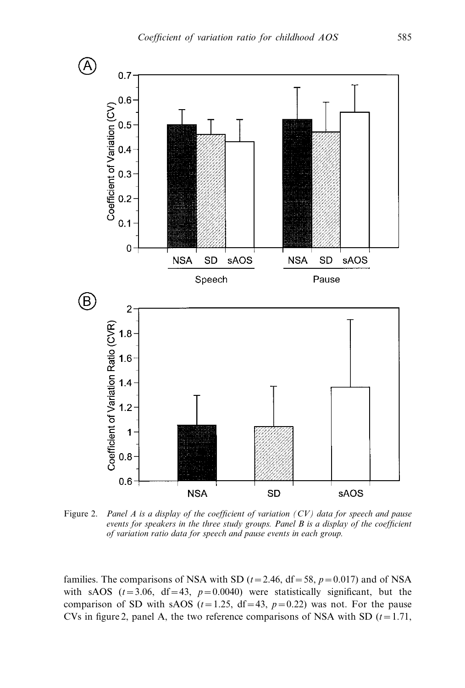

Figure 2. Panel A is a display of the coefficient of variation  $(CV)$  data for speech and pause events for speakers in the three study groups. Panel B is a display of the coefficient of variation ratio data for speech and pause events in each group.

families. The comparisons of NSA with SD ( $t=2.46$ , df = 58,  $p=0.017$ ) and of NSA with sAOS ( $t=3.06$ , df=43,  $p=0.0040$ ) were statistically significant, but the comparison of SD with sAOS ( $t=1.25$ ,  $df=43$ ,  $p=0.22$ ) was not. For the pause CVs in figure 2, panel A, the two reference comparisons of NSA with SD  $(t=1.71,$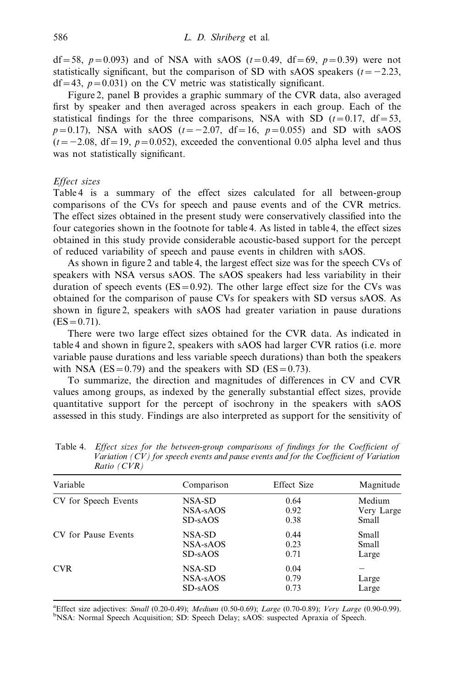df = 58,  $p=0.093$ ) and of NSA with sAOS (t=0.49, df = 69, p=0.39) were not statistically significant, but the comparison of SD with sAOS speakers  $(t=-2.23, t)$  $df=43$ ,  $p=0.031$ ) on the CV metric was statistically significant.

Figure 2, panel B provides a graphic summary of the CVR data, also averaged first by speaker and then averaged across speakers in each group. Each of the statistical findings for the three comparisons, NSA with SD ( $t=0.17$ , df = 53,  $p=0.17$ ), NSA with sAOS ( $t=-2.07$ , df=16,  $p=0.055$ ) and SD with sAOS  $(t=-2.08, df=19, p=0.052)$ , exceeded the conventional 0.05 alpha level and thus was not statistically significant.

#### Effect sizes

Table 4 is a summary of the effect sizes calculated for all between-group comparisons of the CVs for speech and pause events and of the CVR metrics. The effect sizes obtained in the present study were conservatively classified into the four categories shown in the footnote for table 4. As listed in table 4, the effect sizes obtained in this study provide considerable acoustic-based support for the percept of reduced variability of speech and pause events in children with sAOS.

As shown in figure 2 and table 4, the largest effect size was for the speech CVs of speakers with NSA versus sAOS. The sAOS speakers had less variability in their duration of speech events ( $ES = 0.92$ ). The other large effect size for the CVs was obtained for the comparison of pause CVs for speakers with SD versus sAOS. As shown in figure 2, speakers with sAOS had greater variation in pause durations  $(ES = 0.71)$ .

There were two large effect sizes obtained for the CVR data. As indicated in table 4 and shown in figure 2, speakers with sAOS had larger CVR ratios (i.e. more variable pause durations and less variable speech durations) than both the speakers with NSA ( $ES=0.79$ ) and the speakers with SD ( $ES=0.73$ ).

To summarize, the direction and magnitudes of differences in CV and CVR values among groups, as indexed by the generally substantial effect sizes, provide quantitative support for the percept of isochrony in the speakers with sAOS assessed in this study. Findings are also interpreted as support for the sensitivity of

| Variable             | Comparison | <b>Effect Size</b> | Magnitude  |
|----------------------|------------|--------------------|------------|
| CV for Speech Events | NSA-SD     | 0.64               | Medium     |
|                      | NSA-sAOS   | 0.92               | Very Large |
|                      | SD-sAOS    | 0.38               | Small      |
| CV for Pause Events  | NSA-SD     | 0.44               | Small      |
|                      | NSA-sAOS   | 0.23               | Small      |
|                      | SD-sAOS    | 0.71               | Large      |
| <b>CVR</b>           | NSA-SD     | 0.04               |            |
|                      | NSA-sAOS   | 0.79               | Large      |
|                      | SD-sAOS    | 0.73               | Large      |

Table 4. Effect sizes for the between-group comparisons of findings for the Coefficient of Variation  $(CV)$  for speech events and pause events and for the Coefficient of Variation Ratio (CVR)

<sup>a</sup> Effect size adjectives: *Small* (0.20-0.49); *Medium* (0.50-0.69); *Large* (0.70-0.89); *Very Large* (0.90-0.99).  $\frac{b_{\text{NSA}}}{2}$  by SA: *Normal Speech Againstian: SD: Speech Delay: sAOS: supported Aprovis of Speech* NSA: Normal Speech Acquisition; SD: Speech Delay; sAOS: suspected Apraxia of Speech.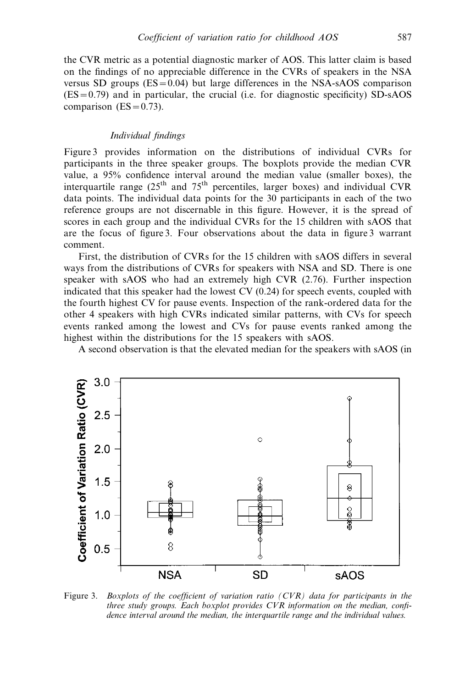the CVR metric as a potential diagnostic marker of AOS. This latter claim is based on the findings of no appreciable difference in the CVRs of speakers in the NSA versus SD groups  $(ES = 0.04)$  but large differences in the NSA-sAOS comparison  $(ES = 0.79)$  and in particular, the crucial (i.e. for diagnostic specificity) SD-sAOS comparison  $(ES=0.73)$ .

## Individual findings

Figure 3 provides information on the distributions of individual CVRs for participants in the three speaker groups. The boxplots provide the median CVR value, a 95% confidence interval around the median value (smaller boxes), the interquartile range  $(25<sup>th</sup>$  and  $75<sup>th</sup>$  percentiles, larger boxes) and individual CVR data points. The individual data points for the 30 participants in each of the two reference groups are not discernable in this figure. However, it is the spread of scores in each group and the individual CVRs for the 15 children with sAOS that are the focus of figure 3. Four observations about the data in figure 3 warrant comment.

First, the distribution of CVRs for the 15 children with sAOS differs in several ways from the distributions of CVRs for speakers with NSA and SD. There is one speaker with sAOS who had an extremely high CVR (2.76). Further inspection indicated that this speaker had the lowest CV (0.24) for speech events, coupled with the fourth highest CV for pause events. Inspection of the rank-ordered data for the other 4 speakers with high CVRs indicated similar patterns, with CVs for speech events ranked among the lowest and CVs for pause events ranked among the highest within the distributions for the 15 speakers with sAOS.

A second observation is that the elevated median for the speakers with sAOS (in



Figure 3. Boxplots of the coefficient of variation ratio (CVR) data for participants in the three study groups. Each boxplot provides CVR information on the median, confidence interval around the median, the interquartile range and the individual values.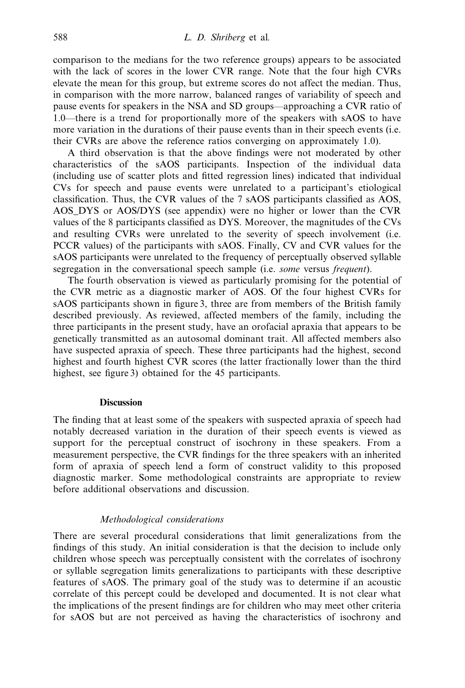comparison to the medians for the two reference groups) appears to be associated with the lack of scores in the lower CVR range. Note that the four high CVRs elevate the mean for this group, but extreme scores do not affect the median. Thus, in comparison with the more narrow, balanced ranges of variability of speech and pause events for speakers in the NSA and SD groups—approaching a CVR ratio of 1.0—there is a trend for proportionally more of the speakers with sAOS to have more variation in the durations of their pause events than in their speech events (i.e. their CVRs are above the reference ratios converging on approximately 1.0).

A third observation is that the above findings were not moderated by other characteristics of the sAOS participants. Inspection of the individual data (including use of scatter plots and fitted regression lines) indicated that individual CVs for speech and pause events were unrelated to a participant's etiological classification. Thus, the CVR values of the 7 sAOS participants classified as AOS, AOS\_DYS or AOS/DYS (see appendix) were no higher or lower than the CVR values of the 8 participants classified as DYS. Moreover, the magnitudes of the CVs and resulting CVRs were unrelated to the severity of speech involvement (i.e. PCCR values) of the participants with sAOS. Finally, CV and CVR values for the sAOS participants were unrelated to the frequency of perceptually observed syllable segregation in the conversational speech sample (i.e. *some versus frequent*).

The fourth observation is viewed as particularly promising for the potential of the CVR metric as a diagnostic marker of AOS. Of the four highest CVRs for sAOS participants shown in figure 3, three are from members of the British family described previously. As reviewed, affected members of the family, including the three participants in the present study, have an orofacial apraxia that appears to be genetically transmitted as an autosomal dominant trait. All affected members also have suspected apraxia of speech. These three participants had the highest, second highest and fourth highest CVR scores (the latter fractionally lower than the third highest, see figure 3) obtained for the 45 participants.

## **Discussion**

The finding that at least some of the speakers with suspected apraxia of speech had notably decreased variation in the duration of their speech events is viewed as support for the perceptual construct of isochrony in these speakers. From a measurement perspective, the CVR findings for the three speakers with an inherited form of apraxia of speech lend a form of construct validity to this proposed diagnostic marker. Some methodological constraints are appropriate to review before additional observations and discussion.

## Methodological considerations

There are several procedural considerations that limit generalizations from the findings of this study. An initial consideration is that the decision to include only children whose speech was perceptually consistent with the correlates of isochrony or syllable segregation limits generalizations to participants with these descriptive features of sAOS. The primary goal of the study was to determine if an acoustic correlate of this percept could be developed and documented. It is not clear what the implications of the present findings are for children who may meet other criteria for sAOS but are not perceived as having the characteristics of isochrony and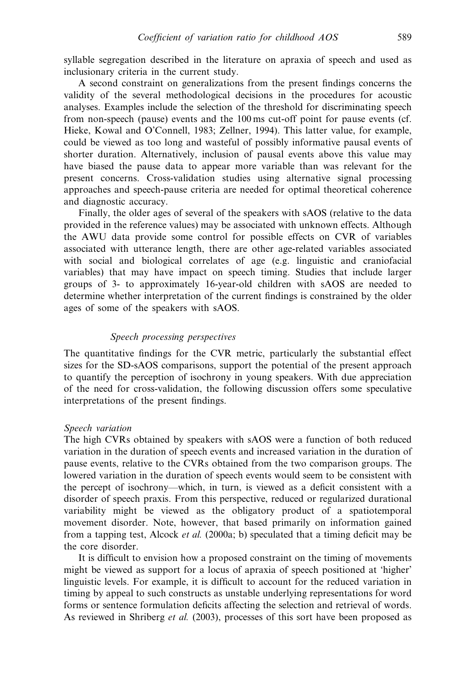syllable segregation described in the literature on apraxia of speech and used as inclusionary criteria in the current study.

A second constraint on generalizations from the present findings concerns the validity of the several methodological decisions in the procedures for acoustic analyses. Examples include the selection of the threshold for discriminating speech from non-speech (pause) events and the 100 ms cut-off point for pause events (cf. Hieke, Kowal and O'Connell, 1983; Zellner, 1994). This latter value, for example, could be viewed as too long and wasteful of possibly informative pausal events of shorter duration. Alternatively, inclusion of pausal events above this value may have biased the pause data to appear more variable than was relevant for the present concerns. Cross-validation studies using alternative signal processing approaches and speech-pause criteria are needed for optimal theoretical coherence and diagnostic accuracy.

Finally, the older ages of several of the speakers with sAOS (relative to the data provided in the reference values) may be associated with unknown effects. Although the AWU data provide some control for possible effects on CVR of variables associated with utterance length, there are other age-related variables associated with social and biological correlates of age (e.g. linguistic and craniofacial variables) that may have impact on speech timing. Studies that include larger groups of 3- to approximately 16-year-old children with sAOS are needed to determine whether interpretation of the current findings is constrained by the older ages of some of the speakers with sAOS.

## Speech processing perspectives

The quantitative findings for the CVR metric, particularly the substantial effect sizes for the SD-sAOS comparisons, support the potential of the present approach to quantify the perception of isochrony in young speakers. With due appreciation of the need for cross-validation, the following discussion offers some speculative interpretations of the present findings.

#### Speech variation

The high CVRs obtained by speakers with sAOS were a function of both reduced variation in the duration of speech events and increased variation in the duration of pause events, relative to the CVRs obtained from the two comparison groups. The lowered variation in the duration of speech events would seem to be consistent with the percept of isochrony—which, in turn, is viewed as a deficit consistent with a disorder of speech praxis. From this perspective, reduced or regularized durational variability might be viewed as the obligatory product of a spatiotemporal movement disorder. Note, however, that based primarily on information gained from a tapping test, Alcock et al. (2000a; b) speculated that a timing deficit may be the core disorder.

It is difficult to envision how a proposed constraint on the timing of movements might be viewed as support for a locus of apraxia of speech positioned at 'higher' linguistic levels. For example, it is difficult to account for the reduced variation in timing by appeal to such constructs as unstable underlying representations for word forms or sentence formulation deficits affecting the selection and retrieval of words. As reviewed in Shriberg et al. (2003), processes of this sort have been proposed as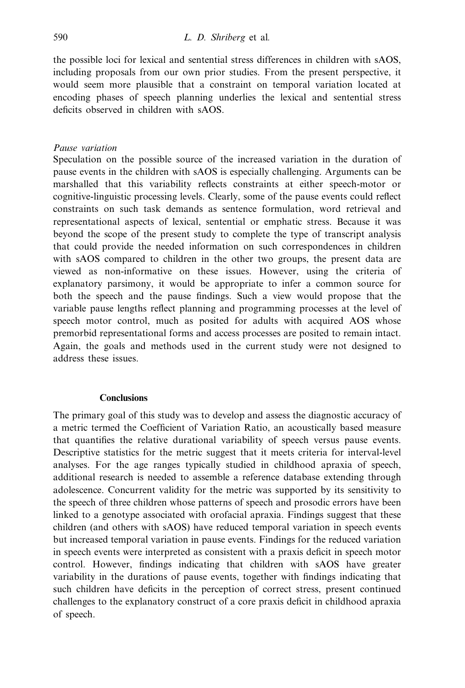the possible loci for lexical and sentential stress differences in children with sAOS, including proposals from our own prior studies. From the present perspective, it would seem more plausible that a constraint on temporal variation located at encoding phases of speech planning underlies the lexical and sentential stress deficits observed in children with sAOS.

## Pause variation

Speculation on the possible source of the increased variation in the duration of pause events in the children with sAOS is especially challenging. Arguments can be marshalled that this variability reflects constraints at either speech-motor or cognitive-linguistic processing levels. Clearly, some of the pause events could reflect constraints on such task demands as sentence formulation, word retrieval and representational aspects of lexical, sentential or emphatic stress. Because it was beyond the scope of the present study to complete the type of transcript analysis that could provide the needed information on such correspondences in children with sAOS compared to children in the other two groups, the present data are viewed as non-informative on these issues. However, using the criteria of explanatory parsimony, it would be appropriate to infer a common source for both the speech and the pause findings. Such a view would propose that the variable pause lengths reflect planning and programming processes at the level of speech motor control, much as posited for adults with acquired AOS whose premorbid representational forms and access processes are posited to remain intact. Again, the goals and methods used in the current study were not designed to address these issues.

#### **Conclusions**

The primary goal of this study was to develop and assess the diagnostic accuracy of a metric termed the Coefficient of Variation Ratio, an acoustically based measure that quantifies the relative durational variability of speech versus pause events. Descriptive statistics for the metric suggest that it meets criteria for interval-level analyses. For the age ranges typically studied in childhood apraxia of speech, additional research is needed to assemble a reference database extending through adolescence. Concurrent validity for the metric was supported by its sensitivity to the speech of three children whose patterns of speech and prosodic errors have been linked to a genotype associated with orofacial apraxia. Findings suggest that these children (and others with sAOS) have reduced temporal variation in speech events but increased temporal variation in pause events. Findings for the reduced variation in speech events were interpreted as consistent with a praxis deficit in speech motor control. However, findings indicating that children with sAOS have greater variability in the durations of pause events, together with findings indicating that such children have deficits in the perception of correct stress, present continued challenges to the explanatory construct of a core praxis deficit in childhood apraxia of speech.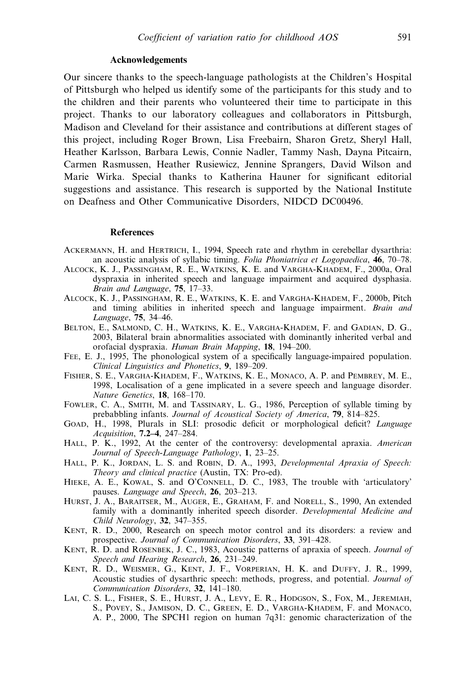## Acknowledgements

Our sincere thanks to the speech-language pathologists at the Children's Hospital of Pittsburgh who helped us identify some of the participants for this study and to the children and their parents who volunteered their time to participate in this project. Thanks to our laboratory colleagues and collaborators in Pittsburgh, Madison and Cleveland for their assistance and contributions at different stages of this project, including Roger Brown, Lisa Freebairn, Sharon Gretz, Sheryl Hall, Heather Karlsson, Barbara Lewis, Connie Nadler, Tammy Nash, Dayna Pitcairn, Carmen Rasmussen, Heather Rusiewicz, Jennine Sprangers, David Wilson and Marie Wirka. Special thanks to Katherina Hauner for significant editorial suggestions and assistance. This research is supported by the National Institute on Deafness and Other Communicative Disorders, NIDCD DC00496.

#### References

- ACKERMANN, H. and HERTRICH, I., 1994, Speech rate and rhythm in cerebellar dysarthria: an acoustic analysis of syllabic timing. Folia Phoniatrica et Logopaedica, 46, 70–78.
- ALCOCK, K. J., PASSINGHAM, R. E., WATKINS, K. E. and VARGHA-KHADEM, F., 2000a, Oral dyspraxia in inherited speech and language impairment and acquired dysphasia. Brain and Language, 75, 17-33.
- ALCOCK, K. J., PASSINGHAM, R. E., WATKINS, K. E. and VARGHA-KHADEM, F., 2000b, Pitch and timing abilities in inherited speech and language impairment. Brain and Language, 75, 34–46.
- BELTON, E., SALMOND, C. H., WATKINS, K. E., VARGHA-KHADEM, F. and GADIAN, D. G., 2003, Bilateral brain abnormalities associated with dominantly inherited verbal and orofacial dyspraxia. Human Brain Mapping, 18, 194–200.
- FEE, E. J., 1995, The phonological system of a specifically language-impaired population. Clinical Linguistics and Phonetics, 9, 189–209.
- FISHER, S. E., VARGHA-KHADEM, F., WATKINS, K. E., MONACO, A. P. and PEMBREY, M. E., 1998, Localisation of a gene implicated in a severe speech and language disorder. Nature Genetics, 18, 168–170.
- FOWLER, C. A., SMITH, M. and TASSINARY, L. G., 1986, Perception of syllable timing by prebabbling infants. Journal of Acoustical Society of America, 79, 814–825.
- GOAD, H., 1998, Plurals in SLI: prosodic deficit or morphological deficit? Language Acquisition, 7.2–4, 247–284.
- HALL, P. K., 1992, At the center of the controversy: developmental apraxia. American Journal of Speech-Language Pathology, 1, 23–25.
- HALL, P. K., JORDAN, L. S. and ROBIN, D. A., 1993, Developmental Apraxia of Speech: Theory and clinical practice (Austin, TX: Pro-ed).
- HIEKE, A. E., KOWAL, S. and O'CONNELL, D. C., 1983, The trouble with 'articulatory' pauses. Language and Speech, 26, 203–213.
- HURST, J. A., BARAITSER, M., AUGER, E., GRAHAM, F. and NORELL, S., 1990, An extended family with a dominantly inherited speech disorder. Developmental Medicine and Child Neurology, 32, 347–355.
- KENT, R. D., 2000, Research on speech motor control and its disorders: a review and prospective. Journal of Communication Disorders, 33, 391-428.
- KENT, R. D. and ROSENBEK, J. C., 1983, Acoustic patterns of apraxia of speech. Journal of Speech and Hearing Research, 26, 231–249.
- KENT, R. D., WEISMER, G., KENT, J. F., VORPERIAN, H. K. and DUFFY, J. R., 1999, Acoustic studies of dysarthric speech: methods, progress, and potential. Journal of Communication Disorders, 32, 141–180.
- LAI, C. S. L., FISHER, S. E., HURST, J. A., LEVY, E. R., HODGSON, S., FOX, M., JEREMIAH, S., POVEY, S., JAMISON, D. C., GREEN, E. D., VARGHA-KHADEM, F. and MONACO, A. P., 2000, The SPCH1 region on human 7q31: genomic characterization of the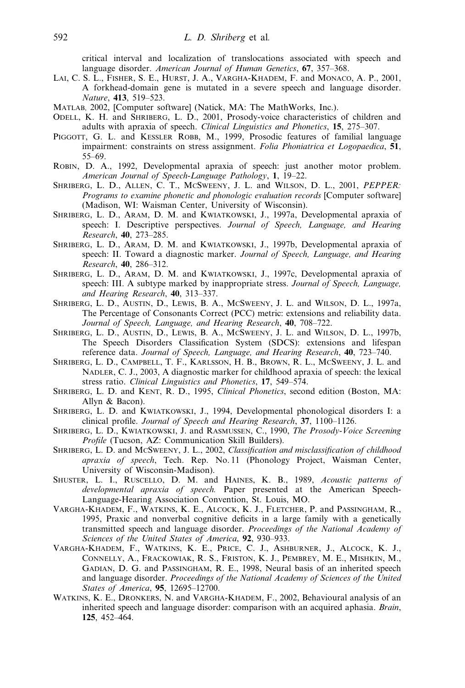critical interval and localization of translocations associated with speech and language disorder. American Journal of Human Genetics, 67, 357–368.

- LAI, C. S. L., FISHER, S. E., HURST, J. A., VARGHA-KHADEM, F. and MONACO, A. P., 2001, A forkhead-domain gene is mutated in a severe speech and language disorder. Nature, 413, 519–523.
- MATLAB, 2002, [Computer software] (Natick, MA: The MathWorks, Inc.).
- ODELL, K. H. and SHRIBERG, L. D., 2001, Prosody-voice characteristics of children and adults with apraxia of speech. Clinical Linguistics and Phonetics, 15, 275–307.
- PIGGOTT, G. L. and KESSLER ROBB, M., 1999, Prosodic features of familial language impairment: constraints on stress assignment. Folia Phoniatrica et Logopaedica, 51, 55–69.
- ROBIN, D. A., 1992, Developmental apraxia of speech: just another motor problem. American Journal of Speech-Language Pathology, 1, 19–22.
- SHRIBERG, L. D., ALLEN, C. T., MCSWEENY, J. L. and WILSON, D. L., 2001, PEPPER: Programs to examine phonetic and phonologic evaluation records [Computer software] (Madison, WI: Waisman Center, University of Wisconsin).
- SHRIBERG, L. D., ARAM, D. M. and KWIATKOWSKI, J., 1997a, Developmental apraxia of speech: I. Descriptive perspectives. Journal of Speech, Language, and Hearing Research, 40, 273–285.
- SHRIBERG, L. D., ARAM, D. M. and KWIATKOWSKI, J., 1997b, Developmental apraxia of speech: II. Toward a diagnostic marker. Journal of Speech, Language, and Hearing Research, 40, 286–312.
- SHRIBERG, L. D., ARAM, D. M. and KWIATKOWSKI, J., 1997c, Developmental apraxia of speech: III. A subtype marked by inappropriate stress. Journal of Speech, Language, and Hearing Research, 40, 313–337.
- SHRIBERG, L. D., AUSTIN, D., LEWIS, B. A., MCSWEENY, J. L. and WILSON, D. L., 1997a, The Percentage of Consonants Correct (PCC) metric: extensions and reliability data. Journal of Speech, Language, and Hearing Research, 40, 708–722.
- SHRIBERG, L. D., AUSTIN, D., LEWIS, B. A., MCSWEENY, J. L. and WILSON, D. L., 1997b, The Speech Disorders Classification System (SDCS): extensions and lifespan reference data. Journal of Speech, Language, and Hearing Research, 40, 723–740.
- SHRIBERG, L. D., CAMPBELL, T. F., KARLSSON, H. B., BROWN, R. L., MCSWEENY, J. L. and NADLER, C. J., 2003, A diagnostic marker for childhood apraxia of speech: the lexical stress ratio. Clinical Linguistics and Phonetics, 17, 549-574.
- SHRIBERG, L. D. and KENT, R. D., 1995, Clinical Phonetics, second edition (Boston, MA: Allyn & Bacon).
- SHRIBERG, L. D. and KWIATKOWSKI, J., 1994, Developmental phonological disorders I: a clinical profile. Journal of Speech and Hearing Research, 37, 1100–1126.
- SHRIBERG, L. D., KWIATKOWSKI, J. and RASMUSSEN, C., 1990, The Prosody-Voice Screening Profile (Tucson, AZ: Communication Skill Builders).
- SHRIBERG, L. D. and MCSWEENY, J. L., 2002, Classification and misclassification of childhood apraxia of speech, Tech. Rep. No. 11 (Phonology Project, Waisman Center, University of Wisconsin-Madison).
- SHUSTER, L. I., RUSCELLO, D. M. and HAINES, K. B., 1989, Acoustic patterns of developmental apraxia of speech. Paper presented at the American Speech-Language-Hearing Association Convention, St. Louis, MO.
- VARGHA-KHADEM, F., WATKINS, K. E., ALCOCK, K. J., FLETCHER, P. and PASSINGHAM, R., 1995, Praxic and nonverbal cognitive deficits in a large family with a genetically transmitted speech and language disorder. Proceedings of the National Academy of Sciences of the United States of America, 92, 930–933.
- VARGHA-KHADEM, F., WATKINS, K. E., PRICE, C. J., ASHBURNER, J., ALCOCK, K. J., CONNELLY, A., FRACKOWIAK, R. S., FRISTON, K. J., PEMBREY, M. E., MISHKIN, M., GADIAN, D. G. and PASSINGHAM, R. E., 1998, Neural basis of an inherited speech and language disorder. Proceedings of the National Academy of Sciences of the United States of America, 95, 12695–12700.
- WATKINS, K. E., DRONKERS, N. and VARGHA-KHADEM, F., 2002, Behavioural analysis of an inherited speech and language disorder: comparison with an acquired aphasia. Brain, 125, 452–464.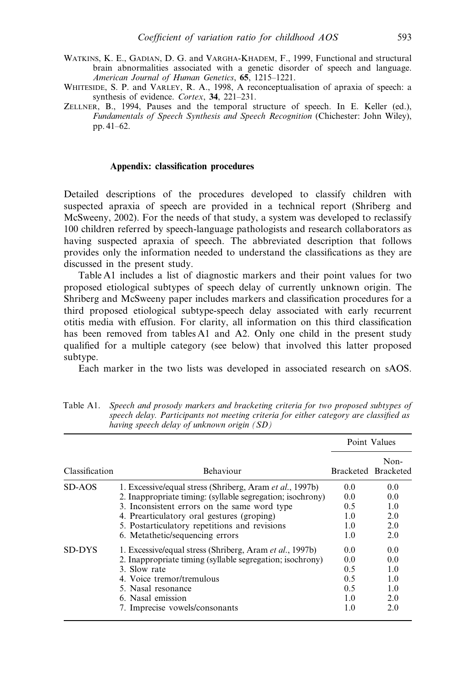- WATKINS, K. E., GADIAN, D. G. and VARGHA-KHADEM, F., 1999, Functional and structural brain abnormalities associated with a genetic disorder of speech and language. American Journal of Human Genetics, 65, 1215–1221.
- WHITESIDE, S. P. and VARLEY, R. A., 1998, A reconceptualisation of apraxia of speech: a synthesis of evidence. *Cortex*, 34, 221–231.
- ZELLNER, B., 1994, Pauses and the temporal structure of speech. In E. Keller (ed.), Fundamentals of Speech Synthesis and Speech Recognition (Chichester: John Wiley), pp. 41–62.

## Appendix: classification procedures

Detailed descriptions of the procedures developed to classify children with suspected apraxia of speech are provided in a technical report (Shriberg and McSweeny, 2002). For the needs of that study, a system was developed to reclassify 100 children referred by speech-language pathologists and research collaborators as having suspected apraxia of speech. The abbreviated description that follows provides only the information needed to understand the classifications as they are discussed in the present study.

Table A1 includes a list of diagnostic markers and their point values for two proposed etiological subtypes of speech delay of currently unknown origin. The Shriberg and McSweeny paper includes markers and classification procedures for a third proposed etiological subtype-speech delay associated with early recurrent otitis media with effusion. For clarity, all information on this third classification has been removed from tables A1 and A2. Only one child in the present study qualified for a multiple category (see below) that involved this latter proposed subtype.

Each marker in the two lists was developed in associated research on sAOS.

|                |                                                                  | Point Values |                             |  |  |
|----------------|------------------------------------------------------------------|--------------|-----------------------------|--|--|
| Classification | <b>Behaviour</b>                                                 |              | Non-<br>Bracketed Bracketed |  |  |
| SD-AOS         | 1. Excessive/equal stress (Shriberg, Aram <i>et al.</i> , 1997b) | 0.0          | 0.0                         |  |  |
|                | 2. Inappropriate timing: (syllable segregation; isochrony)       | 0.0          | 0.0                         |  |  |
|                | 3. Inconsistent errors on the same word type                     | 0.5          | 1.0                         |  |  |
|                | 4. Prearticulatory oral gestures (groping)                       | 1.0          | 2.0                         |  |  |
|                | 5. Postarticulatory repetitions and revisions                    | 1.0          | 2.0                         |  |  |
|                | 6. Metathetic/sequencing errors                                  | 1.0          | 2.0                         |  |  |
| SD-DYS         | 1. Excessive/equal stress (Shriberg, Aram <i>et al.</i> , 1997b) | 0.0          | 0.0                         |  |  |
|                | 2. Inappropriate timing (syllable segregation; isochrony)        | 0.0          | 0.0                         |  |  |
|                | 3. Slow rate                                                     | 0.5          | 1.0                         |  |  |
|                | 4. Voice tremor/tremulous                                        | 0.5          | 1.0                         |  |  |
|                | 5. Nasal resonance                                               | 0.5          | 1.0                         |  |  |
|                | 6. Nasal emission                                                | 1.0          | 2.0                         |  |  |
|                | 7. Imprecise vowels/consonants                                   | 1.0          | 2.0                         |  |  |

Table A1. Speech and prosody markers and bracketing criteria for two proposed subtypes of speech delay. Participants not meeting criteria for either category are classified as having speech delay of unknown origin (SD)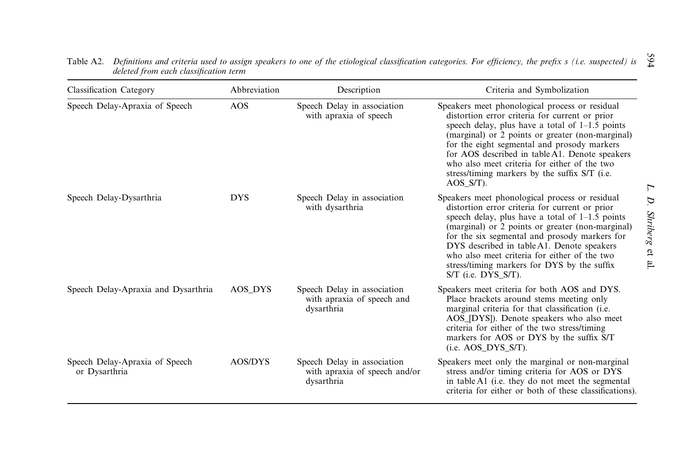| <b>Classification Category</b>                  | Abbreviation   | Description                                                                | Criteria and Symbolization                                                                                                                                                                                                                                                                                                                                                                                                          |
|-------------------------------------------------|----------------|----------------------------------------------------------------------------|-------------------------------------------------------------------------------------------------------------------------------------------------------------------------------------------------------------------------------------------------------------------------------------------------------------------------------------------------------------------------------------------------------------------------------------|
| Speech Delay-Apraxia of Speech                  | <b>AOS</b>     | Speech Delay in association<br>with apraxia of speech                      | Speakers meet phonological process or residual<br>distortion error criteria for current or prior<br>speech delay, plus have a total of $1-1.5$ points<br>(marginal) or 2 points or greater (non-marginal)<br>for the eight segmental and prosody markers<br>for AOS described in table A1. Denote speakers<br>who also meet criteria for either of the two<br>stress/timing markers by the suffix S/T (i.e.<br>$AOS_S/T$ ).         |
| Speech Delay-Dysarthria                         | <b>DYS</b>     | Speech Delay in association<br>with dysarthria                             | Speakers meet phonological process or residual<br>distortion error criteria for current or prior<br>speech delay, plus have a total of $1-1.5$ points<br>(marginal) or 2 points or greater (non-marginal)<br>for the six segmental and prosody markers for<br>DYS described in table A1. Denote speakers<br>who also meet criteria for either of the two<br>stress/timing markers for DYS by the suffix<br>$S/T$ (i.e. DYS $S/T$ ). |
| Speech Delay-Apraxia and Dysarthria             | AOS_DYS        | Speech Delay in association<br>with apraxia of speech and<br>dysarthria    | Speakers meet criteria for both AOS and DYS.<br>Place brackets around stems meeting only<br>marginal criteria for that classification ( <i>i.e.</i><br>AOS [DYS]). Denote speakers who also meet<br>criteria for either of the two stress/timing<br>markers for AOS or DYS by the suffix S/T<br>$(i.e. AOS_DYS_S/T).$                                                                                                               |
| Speech Delay-Apraxia of Speech<br>or Dysarthria | <b>AOS/DYS</b> | Speech Delay in association<br>with apraxia of speech and/or<br>dysarthria | Speakers meet only the marginal or non-marginal<br>stress and/or timing criteria for AOS or DYS<br>in table A1 (i.e. they do not meet the segmental<br>criteria for either or both of these classifications).                                                                                                                                                                                                                       |

Table A2. Definitions and criteria used to assign speakers to one of the etiological classification categories. For efficiency, the prefix <sup>s</sup> (i.e. suspected) is deleted from each classification term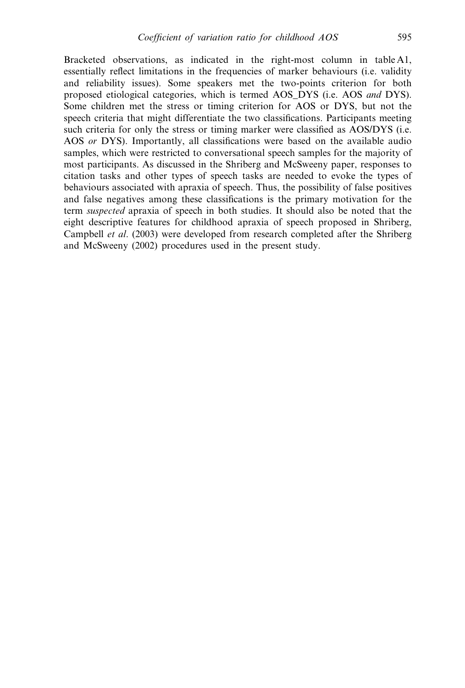Bracketed observations, as indicated in the right-most column in table A1, essentially reflect limitations in the frequencies of marker behaviours (i.e. validity and reliability issues). Some speakers met the two-points criterion for both proposed etiological categories, which is termed AOS\_DYS (i.e. AOS and DYS). Some children met the stress or timing criterion for AOS or DYS, but not the speech criteria that might differentiate the two classifications. Participants meeting such criteria for only the stress or timing marker were classified as AOS/DYS (i.e. AOS or DYS). Importantly, all classifications were based on the available audio samples, which were restricted to conversational speech samples for the majority of most participants. As discussed in the Shriberg and McSweeny paper, responses to citation tasks and other types of speech tasks are needed to evoke the types of behaviours associated with apraxia of speech. Thus, the possibility of false positives and false negatives among these classifications is the primary motivation for the term suspected apraxia of speech in both studies. It should also be noted that the eight descriptive features for childhood apraxia of speech proposed in Shriberg, Campbell et al. (2003) were developed from research completed after the Shriberg and McSweeny (2002) procedures used in the present study.